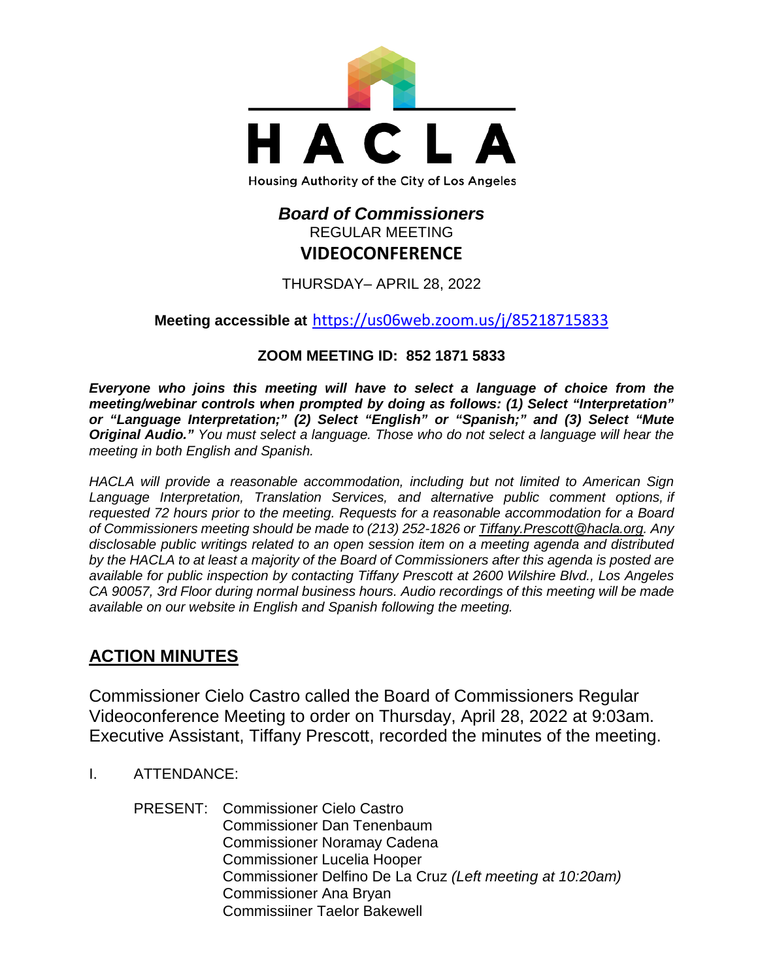

# *Board of Commissioners* REGULAR MEETING **VIDEOCONFERENCE**

THURSDAY– APRIL 28, 2022

# **Meeting accessible at** <https://us06web.zoom.us/j/85218715833>

# **ZOOM MEETING ID: 852 1871 5833**

*Everyone who joins this meeting will have to select a language of choice from the meeting/webinar controls when prompted by doing as follows: (1) Select "Interpretation" or "Language Interpretation;" (2) Select "English" or "Spanish;" and (3) Select "Mute Original Audio." You must select a language. Those who do not select a language will hear the meeting in both English and Spanish.*

*HACLA will provide a reasonable accommodation, including but not limited to American Sign Language Interpretation, Translation Services, and alternative public comment options, if requested 72 hours prior to the meeting. Requests for a reasonable accommodation for a Board of Commissioners meeting should be made to (213) 252-1826 or Tiffany.Prescott@hacla.org. Any disclosable public writings related to an open session item on a meeting agenda and distributed by the HACLA to at least a majority of the Board of Commissioners after this agenda is posted are available for public inspection by contacting Tiffany Prescott at 2600 Wilshire Blvd., Los Angeles CA 90057, 3rd Floor during normal business hours. Audio recordings of this meeting will be made available on our website in English and Spanish following the meeting.*

# **ACTION MINUTES**

Commissioner Cielo Castro called the Board of Commissioners Regular Videoconference Meeting to order on Thursday, April 28, 2022 at 9:03am. Executive Assistant, Tiffany Prescott, recorded the minutes of the meeting.

I. ATTENDANCE:

PRESENT: Commissioner Cielo Castro Commissioner Dan Tenenbaum Commissioner Noramay Cadena Commissioner Lucelia Hooper Commissioner Delfino De La Cruz *(Left meeting at 10:20am)* Commissioner Ana Bryan Commissiiner Taelor Bakewell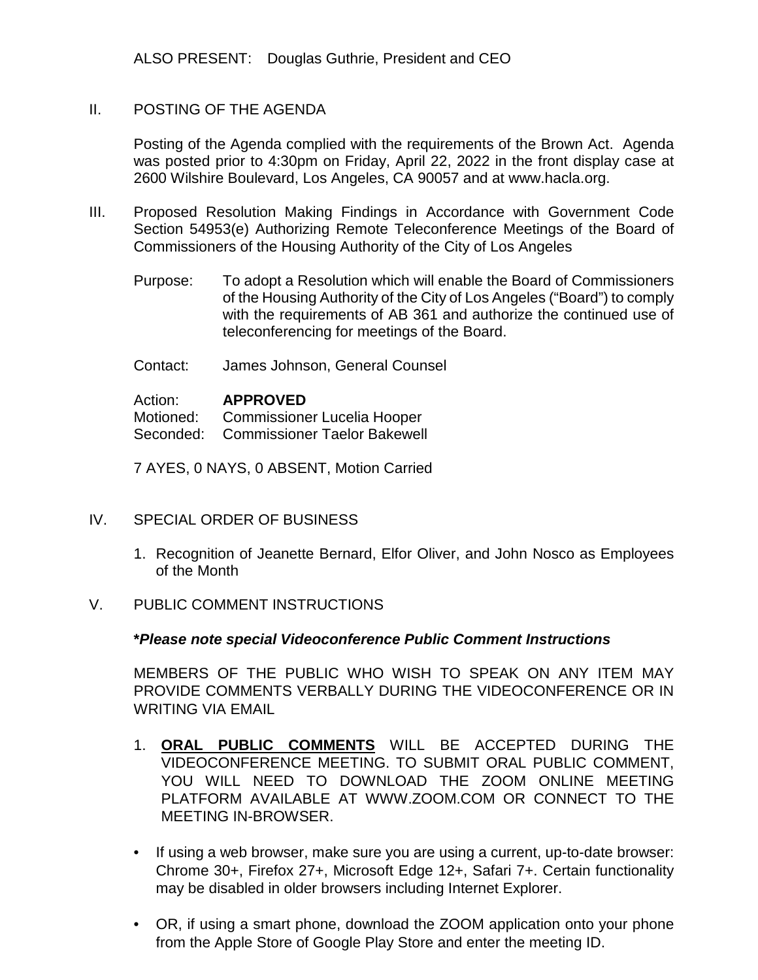ALSO PRESENT: Douglas Guthrie, President and CEO

#### II. POSTING OF THE AGENDA

Posting of the Agenda complied with the requirements of the Brown Act. Agenda was posted prior to 4:30pm on Friday, April 22, 2022 in the front display case at 2600 Wilshire Boulevard, Los Angeles, CA 90057 and at [www.hacla.org.](http://www.hacla.org/)

- III. Proposed Resolution Making Findings in Accordance with Government Code Section 54953(e) Authorizing Remote Teleconference Meetings of the Board of Commissioners of the Housing Authority of the City of Los Angeles
	- Purpose: To adopt a Resolution which will enable the Board of Commissioners of the Housing Authority of the City of Los Angeles ("Board") to comply with the requirements of AB 361 and authorize the continued use of teleconferencing for meetings of the Board.
	- Contact: James Johnson, General Counsel

Action: **APPROVED** Motioned: Commissioner Lucelia Hooper Seconded: Commissioner Taelor Bakewell

7 AYES, 0 NAYS, 0 ABSENT, Motion Carried

- IV. SPECIAL ORDER OF BUSINESS
	- 1. Recognition of Jeanette Bernard, Elfor Oliver, and John Nosco as Employees of the Month
- V. PUBLIC COMMENT INSTRUCTIONS

#### **\****Please note special Videoconference Public Comment Instructions*

MEMBERS OF THE PUBLIC WHO WISH TO SPEAK ON ANY ITEM MAY PROVIDE COMMENTS VERBALLY DURING THE VIDEOCONFERENCE OR IN WRITING VIA EMAIL

- 1. **ORAL PUBLIC COMMENTS** WILL BE ACCEPTED DURING THE VIDEOCONFERENCE MEETING. TO SUBMIT ORAL PUBLIC COMMENT, YOU WILL NEED TO DOWNLOAD THE ZOOM ONLINE MEETING PLATFORM AVAILABLE AT WWW.ZOOM.COM OR CONNECT TO THE MEETING IN-BROWSER.
- If using a web browser, make sure you are using a current, up-to-date browser: Chrome 30+, Firefox 27+, Microsoft Edge 12+, Safari 7+. Certain functionality may be disabled in older browsers including Internet Explorer.
- OR, if using a smart phone, download the ZOOM application onto your phone from the Apple Store of Google Play Store and enter the meeting ID.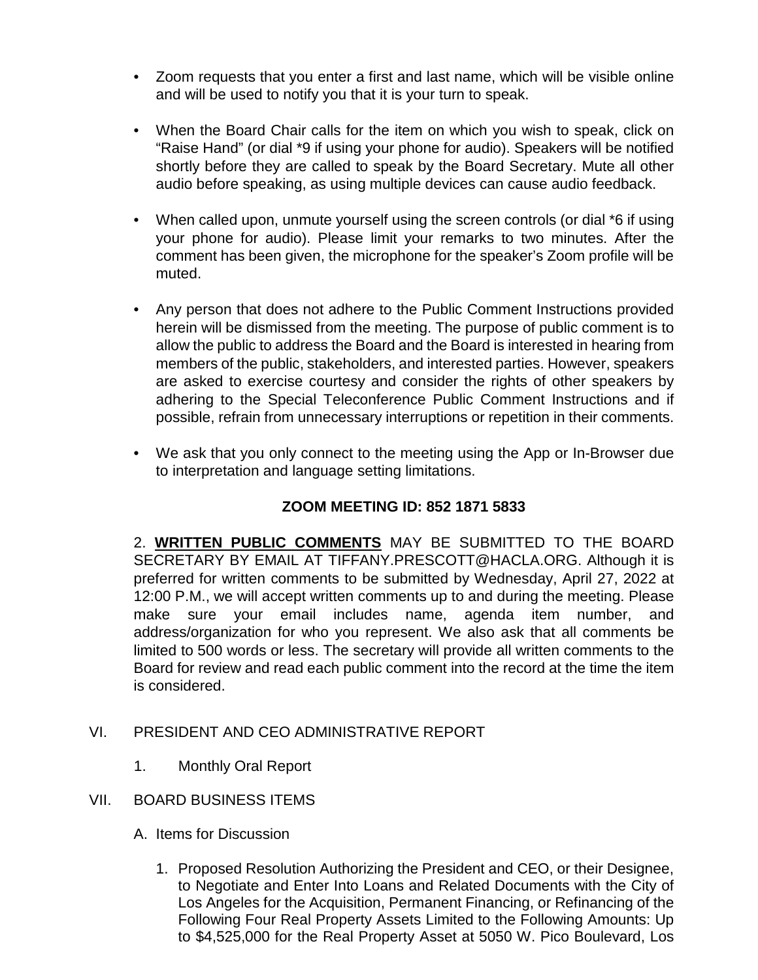- Zoom requests that you enter a first and last name, which will be visible online and will be used to notify you that it is your turn to speak.
- When the Board Chair calls for the item on which you wish to speak, click on "Raise Hand" (or dial \*9 if using your phone for audio). Speakers will be notified shortly before they are called to speak by the Board Secretary. Mute all other audio before speaking, as using multiple devices can cause audio feedback.
- When called upon, unmute yourself using the screen controls (or dial \*6 if using your phone for audio). Please limit your remarks to two minutes. After the comment has been given, the microphone for the speaker's Zoom profile will be muted.
- Any person that does not adhere to the Public Comment Instructions provided herein will be dismissed from the meeting. The purpose of public comment is to allow the public to address the Board and the Board is interested in hearing from members of the public, stakeholders, and interested parties. However, speakers are asked to exercise courtesy and consider the rights of other speakers by adhering to the Special Teleconference Public Comment Instructions and if possible, refrain from unnecessary interruptions or repetition in their comments.
- We ask that you only connect to the meeting using the App or In-Browser due to interpretation and language setting limitations.

# **ZOOM MEETING ID: 852 1871 5833**

2. **WRITTEN PUBLIC COMMENTS** MAY BE SUBMITTED TO THE BOARD SECRETARY BY EMAIL AT TIFFANY.PRESCOTT@HACLA.ORG. Although it is preferred for written comments to be submitted by Wednesday, April 27, 2022 at 12:00 P.M., we will accept written comments up to and during the meeting. Please make sure your email includes name, agenda item number, and address/organization for who you represent. We also ask that all comments be limited to 500 words or less. The secretary will provide all written comments to the Board for review and read each public comment into the record at the time the item is considered.

# VI. PRESIDENT AND CEO ADMINISTRATIVE REPORT

1. Monthly Oral Report

# VII. BOARD BUSINESS ITEMS

- A. Items for Discussion
	- 1. Proposed Resolution Authorizing the President and CEO, or their Designee, to Negotiate and Enter Into Loans and Related Documents with the City of Los Angeles for the Acquisition, Permanent Financing, or Refinancing of the Following Four Real Property Assets Limited to the Following Amounts: Up to \$4,525,000 for the Real Property Asset at 5050 W. Pico Boulevard, Los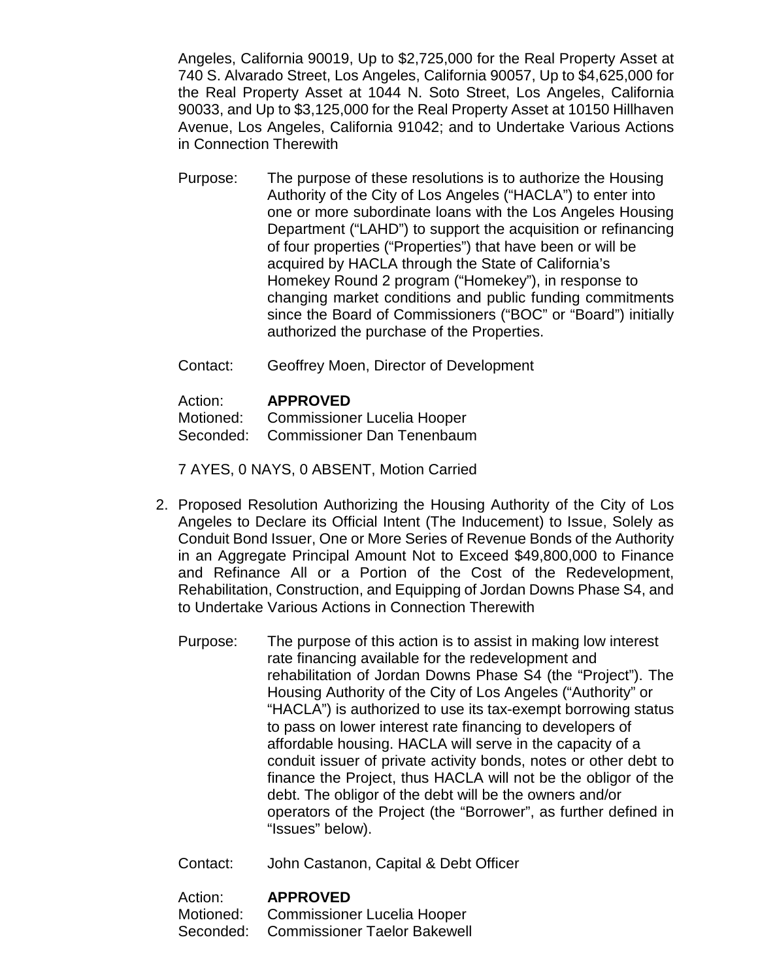Angeles, California 90019, Up to \$2,725,000 for the Real Property Asset at 740 S. Alvarado Street, Los Angeles, California 90057, Up to \$4,625,000 for the Real Property Asset at 1044 N. Soto Street, Los Angeles, California 90033, and Up to \$3,125,000 for the Real Property Asset at 10150 Hillhaven Avenue, Los Angeles, California 91042; and to Undertake Various Actions in Connection Therewith

Purpose: The purpose of these resolutions is to authorize the Housing Authority of the City of Los Angeles ("HACLA") to enter into one or more subordinate loans with the Los Angeles Housing Department ("LAHD") to support the acquisition or refinancing of four properties ("Properties") that have been or will be acquired by HACLA through the State of California's Homekey Round 2 program ("Homekey"), in response to changing market conditions and public funding commitments since the Board of Commissioners ("BOC" or "Board") initially authorized the purchase of the Properties.

Contact: Geoffrey Moen, Director of Development

Action: **APPROVED**<br>Motioned: Commissione

Commissioner Lucelia Hooper Seconded: Commissioner Dan Tenenbaum

7 AYES, 0 NAYS, 0 ABSENT, Motion Carried

- 2. Proposed Resolution Authorizing the Housing Authority of the City of Los Angeles to Declare its Official Intent (The Inducement) to Issue, Solely as Conduit Bond Issuer, One or More Series of Revenue Bonds of the Authority in an Aggregate Principal Amount Not to Exceed \$49,800,000 to Finance and Refinance All or a Portion of the Cost of the Redevelopment, Rehabilitation, Construction, and Equipping of Jordan Downs Phase S4, and to Undertake Various Actions in Connection Therewith
	- Purpose: The purpose of this action is to assist in making low interest rate financing available for the redevelopment and rehabilitation of Jordan Downs Phase S4 (the "Project"). The Housing Authority of the City of Los Angeles ("Authority" or "HACLA") is authorized to use its tax-exempt borrowing status to pass on lower interest rate financing to developers of affordable housing. HACLA will serve in the capacity of a conduit issuer of private activity bonds, notes or other debt to finance the Project, thus HACLA will not be the obligor of the debt. The obligor of the debt will be the owners and/or operators of the Project (the "Borrower", as further defined in "Issues" below).
	- Contact: John Castanon, Capital & Debt Officer

Action: **APPROVED** Motioned: Commissioner Lucelia Hooper Seconded: Commissioner Taelor Bakewell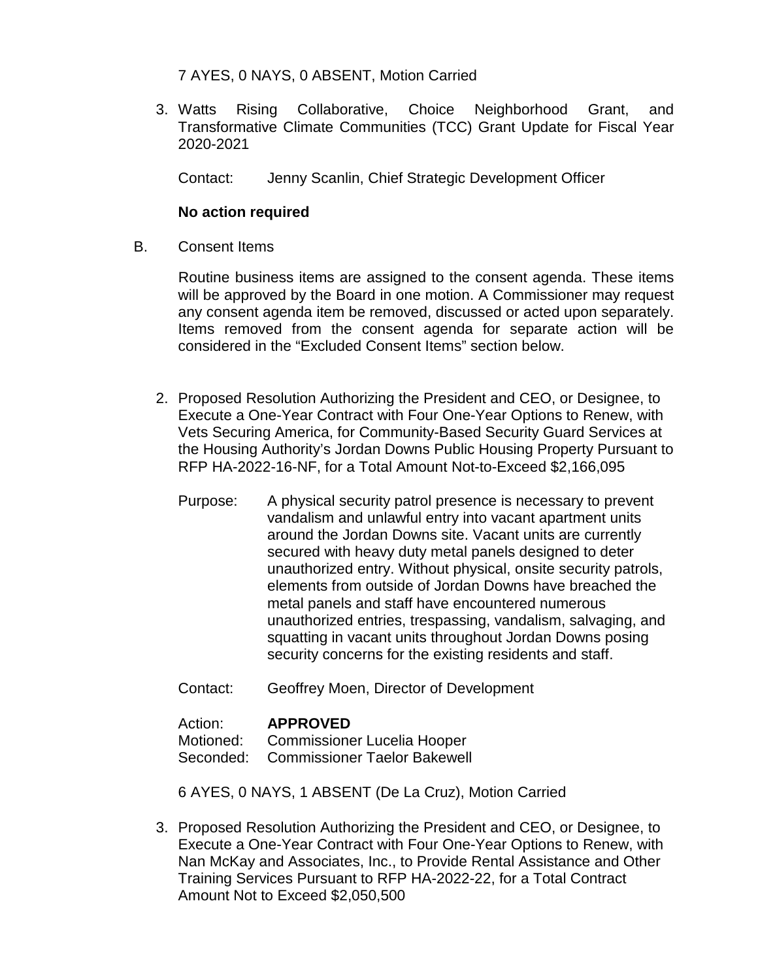# 7 AYES, 0 NAYS, 0 ABSENT, Motion Carried

3. Watts Rising Collaborative, Choice Neighborhood Grant, and Transformative Climate Communities (TCC) Grant Update for Fiscal Year 2020-2021

Contact: Jenny Scanlin, Chief Strategic Development Officer

# **No action required**

B. Consent Items

Routine business items are assigned to the consent agenda. These items will be approved by the Board in one motion. A Commissioner may request any consent agenda item be removed, discussed or acted upon separately. Items removed from the consent agenda for separate action will be considered in the "Excluded Consent Items" section below.

- 2. Proposed Resolution Authorizing the President and CEO, or Designee, to Execute a One-Year Contract with Four One-Year Options to Renew, with Vets Securing America, for Community-Based Security Guard Services at the Housing Authority's Jordan Downs Public Housing Property Pursuant to RFP HA-2022-16-NF, for a Total Amount Not-to-Exceed \$2,166,095
	- Purpose: A physical security patrol presence is necessary to prevent vandalism and unlawful entry into vacant apartment units around the Jordan Downs site. Vacant units are currently secured with heavy duty metal panels designed to deter unauthorized entry. Without physical, onsite security patrols, elements from outside of Jordan Downs have breached the metal panels and staff have encountered numerous unauthorized entries, trespassing, vandalism, salvaging, and squatting in vacant units throughout Jordan Downs posing security concerns for the existing residents and staff.
	- Contact: Geoffrey Moen, Director of Development

# Action: **APPROVED**

Motioned: Commissioner Lucelia Hooper

Seconded: Commissioner Taelor Bakewell

6 AYES, 0 NAYS, 1 ABSENT (De La Cruz), Motion Carried

3. Proposed Resolution Authorizing the President and CEO, or Designee, to Execute a One-Year Contract with Four One-Year Options to Renew, with Nan McKay and Associates, Inc., to Provide Rental Assistance and Other Training Services Pursuant to RFP HA-2022-22, for a Total Contract Amount Not to Exceed \$2,050,500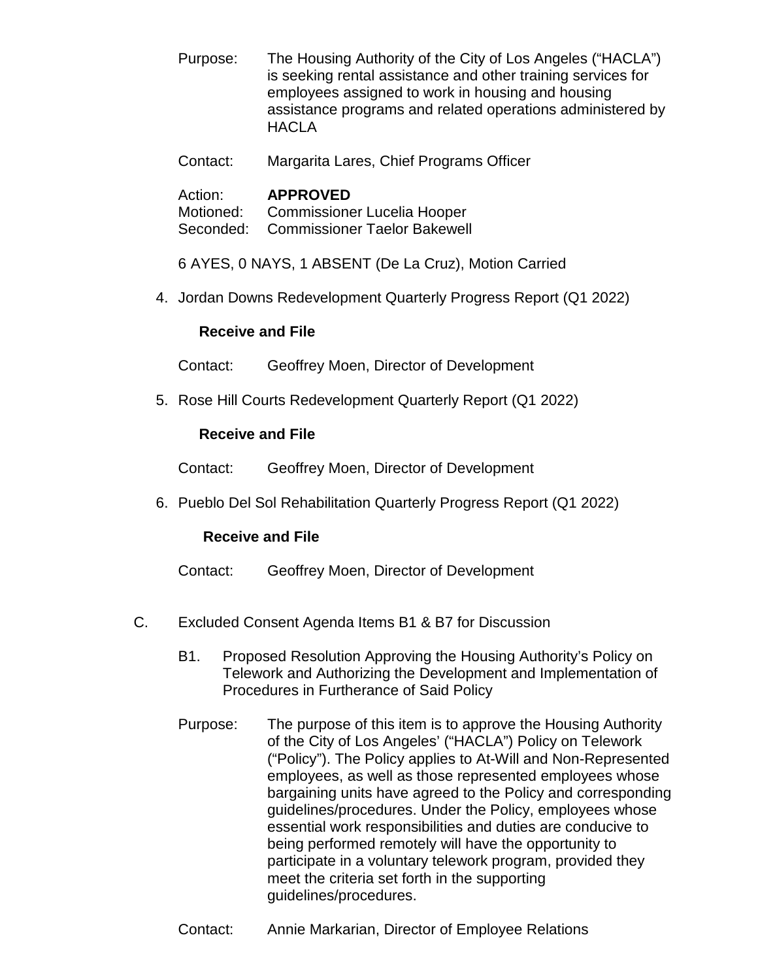Purpose: The Housing Authority of the City of Los Angeles ("HACLA") is seeking rental assistance and other training services for employees assigned to work in housing and housing assistance programs and related operations administered by **HACLA** 

Contact: Margarita Lares, Chief Programs Officer

# Action: **APPROVED**<br>Motioned: Commissione

Commissioner Lucelia Hooper Seconded: Commissioner Taelor Bakewell

6 AYES, 0 NAYS, 1 ABSENT (De La Cruz), Motion Carried

4. Jordan Downs Redevelopment Quarterly Progress Report (Q1 2022)

# **Receive and File**

Contact: Geoffrey Moen, Director of Development

5. Rose Hill Courts Redevelopment Quarterly Report (Q1 2022)

# **Receive and File**

Contact: Geoffrey Moen, Director of Development

6. Pueblo Del Sol Rehabilitation Quarterly Progress Report (Q1 2022)

#### **Receive and File**

- Contact: Geoffrey Moen, Director of Development
- C. Excluded Consent Agenda Items B1 & B7 for Discussion
	- B1. Proposed Resolution Approving the Housing Authority's Policy on Telework and Authorizing the Development and Implementation of Procedures in Furtherance of Said Policy
	- Purpose: The purpose of this item is to approve the Housing Authority of the City of Los Angeles' ("HACLA") Policy on Telework ("Policy"). The Policy applies to At-Will and Non-Represented employees, as well as those represented employees whose bargaining units have agreed to the Policy and corresponding guidelines/procedures. Under the Policy, employees whose essential work responsibilities and duties are conducive to being performed remotely will have the opportunity to participate in a voluntary telework program, provided they meet the criteria set forth in the supporting guidelines/procedures.
	- Contact: Annie Markarian, Director of Employee Relations